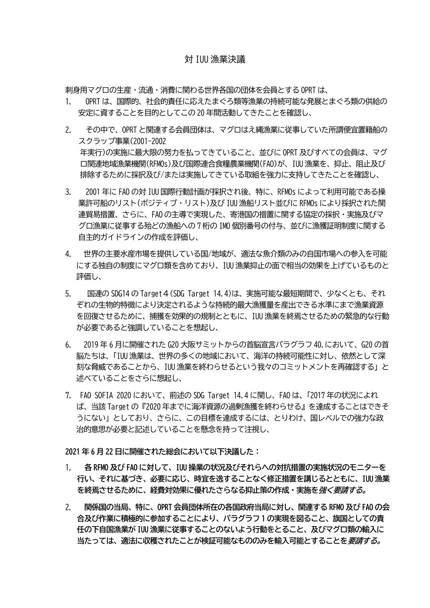## 対 IUU 漁業決議

刺身用マグロの生産・流通・消費に関わる世界各国の団体を会員とする OPRT は、

- 1. OPRT は、国際的、社会的責任に応えたまぐろ類等漁業の持続可能な発展とまぐろ類の供給の 安定に資することを目的としてこの 20 年間活動してきたことを確認し、
- 2. その中で、OPRT と関連する会員団体は、マグロはえ縄漁業に従事していた所謂便宜置籍船の スクラップ事業(2001-2002 年実行)の実施に最大限の努力を払ってきていること、並びに OPRT 及びすべての会員は、マグ ロ関連地域漁業機関(RFMOs)及び国際連合食糧農業機関(FAO)が、IUU 漁業を、抑止、阻止及び 排除するために採択及び/または実施してきている取組を強力に支持してきたことを確認し、
- 3. 2001 年に FAO の対 IUU 国際行動計画が採択され後、特に、RFMOs によって利用可能である操 業許可船のリスト(ポジティブ・リスト)及び IUU 漁船リスト並びに RFMOs により採択された関 連貿易措置、さらに、FAO の主導で実現した、寄港国の措置に関する協定の採択・実施及びマ グロ漁業に従事する殆どの漁船への 7 桁の IMO 個別番号の付与、並びに漁獲証明制度に関する 自主的ガイドラインの作成を評価し、
- 4. 世界の主要水産市場を提供している国/地域が、適法な魚介類のみの自国市場への参入を可能 にする独自の制度にマグロ類を含めており、IUU 漁業抑止の面で相当の効果を上げているものと 評価し、
- 5. 国連の SDG14 の Target4(SDG Target 14.4)は、実施可能な最短期間で、少なくとも、それ ぞれの生物的特徴により決定されるような持続的最大漁獲量を産出できる水準にまで漁業資源 を回復させるために、捕獲を効果的の規制とともに、IUU 漁業を終焉させるための緊急的な行動 が必要であると強調していることを想起し、
- 6. 2019 年 6 月に開催された G20 大阪サミットからの首脳宣言パラグラフ 40.において、G20 の首 脳たちは、「IUU 漁業は、世界の多くの地域において、海洋の持続可能性に対し、依然として深 刻な脅威であることから、IUU 漁業を終わらせるという我々のコミットメントを再確認する」と 述べていることをさらに想起し、
- 7. FAO SOFIA 2020 において、前述の SDG Target 14.4 に関し、FAO は、「2017 年の状況によれ ば、当該 Target の『2020 年までに海洋資源の過剰漁獲を終わらせる』を達成することはできそ うにない」としており、さらに、この目標を達成するには、とりわけ、国レベルでの強力な政 治的意思が必要と記述していることを懸念を持って注視し、

**2021 年 6 月 22 日に開催された総会において以下決議した:**

- 1. **各 RFMO 及び FAO に対して、IUU 操業の状況及びそれらへの対抗措置の実施状況のモニターを 行い、それに基づき、必要に応じ、時宜を逸することなく修正措置を講じるとともに、IUU 漁業 を終焉させるために、経費対効果に優れたさらなる抑止策の作成・実施を強く要請する。**
- 2. **関係国の当局、特に、OPRT 会員団体所在の各国政府当局に対し、関連する RFMO 及び FAO の会 合及び作業に積極的に参加することにより、パラグラフ 1 の実現を図ること、旗国としての責 任の下自国漁業が IUU 漁業に従事することのないよう行動をとること、及びマグロ類の輸入に 当たっては、適法に収穫されたことが検証可能なもののみを輸入可能とすることを要請する。**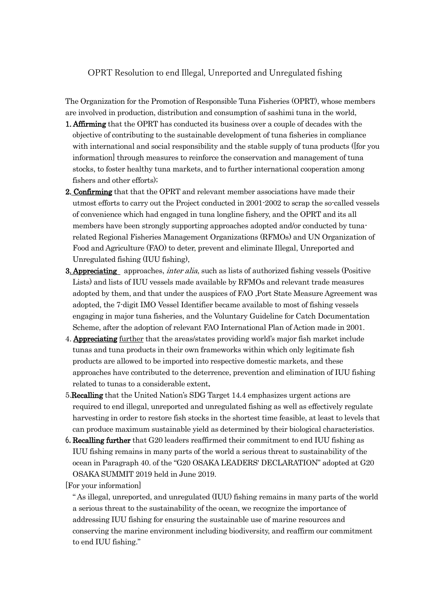## OPRT Resolution to end Illegal, Unreported and Unregulated fishing

The Organization for the Promotion of Responsible Tuna Fisheries (OPRT), whose members are involved in production, distribution and consumption of sashimi tuna in the world,

- **1. Affirming** that the OPRT has conducted its business over a couple of decades with the objective of contributing to the sustainable development of tuna fisheries in compliance with international and social responsibility and the stable supply of tuna products ([for you information] through measures to reinforce the conservation and management of tuna stocks, to foster healthy tuna markets, and to further international cooperation among fishers and other efforts);
- **2. Confirming** that that the OPRT and relevant member associations have made their utmost efforts to carry out the Project conducted in 2001-2002 to scrap the so-called vessels of convenience which had engaged in tuna longline fishery, and the OPRT and its all members have been strongly supporting approaches adopted and/or conducted by tunarelated Regional Fisheries Management Organizations (RFMOs) and UN Organization of Food and Agriculture (FAO) to deter, prevent and eliminate Illegal, Unreported and Unregulated fishing (IUU fishing),
- **3. Appreciating** approaches, *inter alia*, such as lists of authorized fishing vessels (Positive Lists) and lists of IUU vessels made available by RFMOs and relevant trade measures adopted by them, and that under the auspices of FAO ,Port State Measure Agreement was adopted, the 7-digit IMO Vessel Identifier became available to most of fishing vessels engaging in major tuna fisheries, and the Voluntary Guideline for Catch Documentation Scheme, after the adoption of relevant FAO International Plan of Action made in 2001.
- 4. **Appreciating** further that the areas/states providing world's major fish market include tunas and tuna products in their own frameworks within which only legitimate fish products are allowed to be imported into respective domestic markets, and these approaches have contributed to the deterrence, prevention and elimination of IUU fishing related to tunas to a considerable extent.
- 5.Recalling that the United Nation's SDG Target 14.4 emphasizes urgent actions are required to end illegal, unreported and unregulated fishing as well as effectively regulate harvesting in order to restore fish stocks in the shortest time feasible, at least to levels that can produce maximum sustainable yield as determined by their biological characteristics.
- 6.Recalling further that G20 leaders reaffirmed their commitment to end IUU fishing as IUU fishing remains in many parts of the world a serious threat to sustainability of the ocean in Paragraph 40. of the "G20 OSAKA LEADERS' DECLARATION" adopted at G20 OSAKA SUMMIT 2019 held in June 2019.

[For your information]

" As illegal, unreported, and unregulated (IUU) fishing remains in many parts of the world a serious threat to the sustainability of the ocean, we recognize the importance of addressing IUU fishing for ensuring the sustainable use of marine resources and conserving the marine environment including biodiversity, and reaffirm our commitment to end IUU fishing."